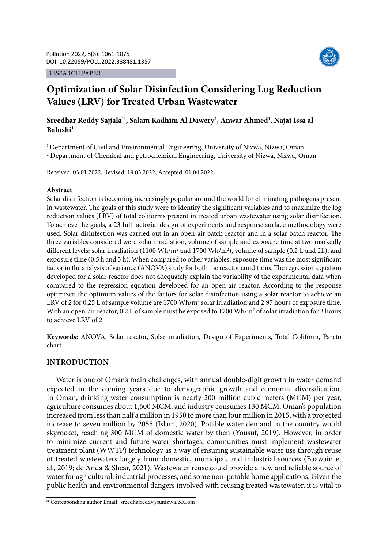#### RESEARCH PAPER



# **Optimization of Solar Disinfection Considering Log Reduction Values (LRV) for Treated Urban Wastewater**

# **Sreedhar Reddy Sajjala1\*, Salam Kadhim Al Dawery2 , Anwar Ahmed1 , Najat Issa al Balushi1**

<sup>1</sup> Department of Civil and Environmental Engineering, University of Nizwa, Nizwa, Oman <sup>2</sup> Department of Chemical and petrochemical Engineering, University of Nizwa, Nizwa, Oman

Received: 03.01.2022, Revised: 19.03.2022, Accepted: 01.04.2022

### **Abstract**

Solar disinfection is becoming increasingly popular around the world for eliminating pathogens present in wastewater. The goals of this study were to identify the significant variables and to maximize the log reduction values (LRV) of total coliforms present in treated urban wastewater using solar disinfection. To achieve the goals, a 23 full factorial design of experiments and response surface methodology were used. Solar disinfection was carried out in an open-air batch reactor and in a solar batch reactor. The three variables considered were solar irradiation, volume of sample and exposure time at two markedly different levels: solar irradiation (1100 Wh/m<sup>2</sup> and 1700 Wh/m<sup>2</sup>), volume of sample (0.2 L and 2L), and exposure time (0.5 h and 3 h). When compared to other variables, exposure time was the most significant factor in the analysis of variance (ANOVA) study for both the reactor conditions. The regression equation developed for a solar reactor does not adequately explain the variability of the experimental data when compared to the regression equation developed for an open-air reactor. According to the response optimizer, the optimum values of the factors for solar disinfection using a solar reactor to achieve an LRV of 2 for 0.25 L of sample volume are  $1700 \text{ Wh/m}^2$  solar irradiation and 2.97 hours of exposure time. With an open-air reactor, 0.2 L of sample must be exposed to 1700 Wh/m<sup>2</sup> of solar irradiation for 3 hours to achieve LRV of 2.

**Keywords:** ANOVA, Solar reactor, Solar irradiation, Design of Experiments, Total Coliform, Pareto chart

## **INTRODUCTION**

Water is one of Oman's main challenges, with annual double-digit growth in water demand expected in the coming years due to demographic growth and economic diversification. In Oman, drinking water consumption is nearly 200 million cubic meters (MCM) per year, agriculture consumes about 1,600 MCM, and industry consumes 130 MCM. Oman's population increased from less than half a million in 1950 to more than four million in 2015, with a projected increase to seven million by 2055 (Islam, 2020). Potable water demand in the country would skyrocket, reaching 300 MCM of domestic water by then (Yousuf, 2019). However, in order to minimize current and future water shortages, communities must implement wastewater treatment plant (WWTP) technology as a way of ensuring sustainable water use through reuse of treated wastewaters largely from domestic, municipal, and industrial sources (Baawain et al., 2019; de Anda & Shear, 2021). Wastewater reuse could provide a new and reliable source of water for agricultural, industrial processes, and some non-potable home applications. Given the public health and environmental dangers involved with reusing treated wastewater, it is vital to

<sup>\*</sup> Corresponding author Email: sreedharreddy@unizwa.edu.om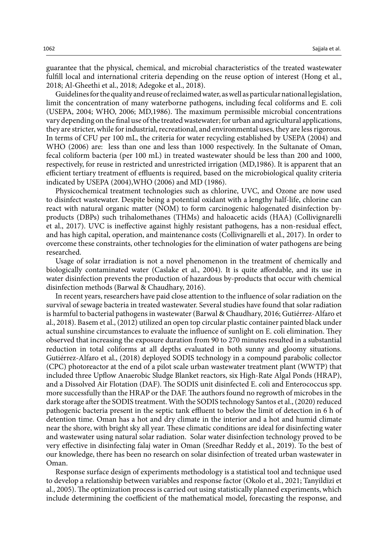guarantee that the physical, chemical, and microbial characteristics of the treated wastewater fulfill local and international criteria depending on the reuse option of interest (Hong et al., 2018; Al-Gheethi et al., 2018; Adegoke et al., 2018).

Guidelines for the quality and reuse of reclaimed water, as well as particular national legislation, limit the concentration of many waterborne pathogens, including fecal coliforms and E. coli (USEPA, 2004; WHO, 2006; MD,1986). The maximum permissible microbial concentrations vary depending on the final use of the treated wastewater; for urban and agricultural applications, they are stricter, while for industrial, recreational, and environmental uses, they are less rigorous. In terms of CFU per 100 mL, the criteria for water recycling established by USEPA (2004) and WHO (2006) are: less than one and less than 1000 respectively. In the Sultanate of Oman, fecal coliform bacteria (per 100 mL) in treated wastewater should be less than 200 and 1000, respectively, for reuse in restricted and unrestricted irrigation (MD,1986). It is apparent that an efficient tertiary treatment of effluents is required, based on the microbiological quality criteria indicated by USEPA (2004),WHO (2006) and MD (1986).

Physicochemical treatment technologies such as chlorine, UVC, and Ozone are now used to disinfect wastewater. Despite being a potential oxidant with a lengthy half-life, chlorine can react with natural organic matter (NOM) to form carcinogenic halogenated disinfection byproducts (DBPs) such trihalomethanes (THMs) and haloacetic acids (HAA) (Collivignarelli et al., 2017). UVC is ineffective against highly resistant pathogens, has a non-residual effect, and has high capital, operation, and maintenance costs (Collivignarelli et al., 2017). In order to overcome these constraints, other technologies for the elimination of water pathogens are being researched.

Usage of solar irradiation is not a novel phenomenon in the treatment of chemically and biologically contaminated water (Caslake et al., 2004). It is quite affordable, and its use in water disinfection prevents the production of hazardous by-products that occur with chemical disinfection methods (Barwal & Chaudhary, 2016).

In recent years, researchers have paid close attention to the influence of solar radiation on the survival of sewage bacteria in treated wastewater. Several studies have found that solar radiation is harmful to bacterial pathogens in wastewater (Barwal & Chaudhary, 2016; Gutiérrez-Alfaro et al., 2018). Basem et al., (2012) utilized an open top circular plastic container painted black under actual sunshine circumstances to evaluate the influence of sunlight on E. coli elimination. They observed that increasing the exposure duration from 90 to 270 minutes resulted in a substantial reduction in total coliforms at all depths evaluated in both sunny and gloomy situations. Gutiérrez-Alfaro et al., (2018) deployed SODIS technology in a compound parabolic collector (CPC) photoreactor at the end of a pilot scale urban wastewater treatment plant (WWTP) that included three Upflow Anaerobic Sludge Blanket reactors, six High-Rate Algal Ponds (HRAP), and a Dissolved Air Flotation (DAF). The SODIS unit disinfected E. coli and Enterococcus spp. more successfully than the HRAP or the DAF. The authors found no regrowth of microbes in the dark storage after the SODIS treatment. With the SODIS technology Santos et al., (2020) reduced pathogenic bacteria present in the septic tank effluent to below the limit of detection in 6 h of detention time. Oman has a hot and dry climate in the interior and a hot and humid climate near the shore, with bright sky all year. These climatic conditions are ideal for disinfecting water and wastewater using natural solar radiation. Solar water disinfection technology proved to be very effective in disinfecting falaj water in Oman (Sreedhar Reddy et al., 2019). To the best of our knowledge, there has been no research on solar disinfection of treated urban wastewater in Oman.

Response surface design of experiments methodology is a statistical tool and technique used to develop a relationship between variables and response factor (Okolo et al., 2021; Tanyildizi et al., 2005). The optimization process is carried out using statistically planned experiments, which include determining the coefficient of the mathematical model, forecasting the response, and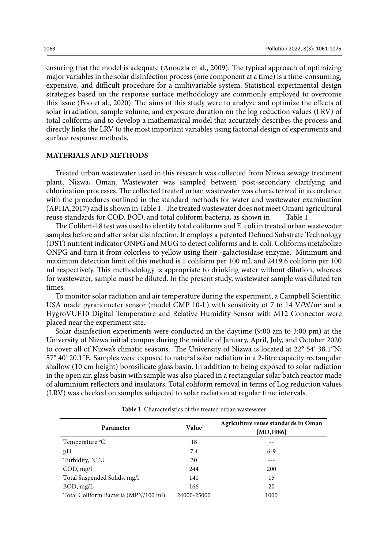ensuring that the model is adequate (Anouzla et al., 2009). The typical approach of optimizing major variables in the solar disinfection process (one component at a time) is a time-consuming, expensive, and difficult procedure for a multivariable system. Statistical experimental design strategies based on the response surface methodology are commonly employed to overcome this issue (Foo et al., 2020). The aims of this study were to analyze and optimize the effects of solar irradiation, sample volume, and exposure duration on the log reduction values (LRV) of total coliforms and to develop a mathematical model that accurately describes the process and directly links the LRV to the most important variables using factorial design of experiments and surface response methods,

## **MATERIALS AND METHODS**

Treated urban wastewater used in this research was collected from Nizwa sewage treatment plant, Nizwa, Oman. Wastewater was sampled between post-secondary clarifying and chlorination processes. The collected treated urban wastewater was characterized in accordance with the procedures outlined in the standard methods for water and wastewater examination (APHA,2017) and is shown in Table 1. The treated wastewater does not meet Omani agricultural reuse standards for COD, BOD, and total coliform bacteria, as shown in Table 1.

The Colilert-18 test was used to identify total coliforms and E. coli in treated urban wastewater samples before and after solar disinfection. It employs a patented Defined Substrate Technology (DST) nutrient indicator ONPG and MUG to detect coliforms and E. coli. Coliforms metabolize ONPG and turn it from colorless to yellow using their -galactosidase enzyme. Minimum and maximum detection limit of this method is 1 coliform per 100 mL and 2419.6 coliform per 100 ml respectively. This methodology is appropriate to drinking water without dilution, whereas for wastewater, sample must be diluted. In the present study, wastewater sample was diluted ten times.

To monitor solar radiation and air temperature during the experiment, a Campbell Scientific, USA made pyranometer sensor (model CMP 10-L) with sensitivity of 7 to 14 V/W/m<sup>2</sup> and a HygroVUE10 Digital Temperature and Relative Humidity Sensor with M12 Connector were placed near the experiment site.

Solar disinfection experiments were conducted in the daytime (9:00 am to 3:00 pm) at the University of Nizwa initial campus during the middle of January, April, July, and October 2020 to cover all of Nizwa's climatic seasons. The University of Nizwa is located at 22° 54' 38.1"N; 57° 40' 20.1"E. Samples were exposed to natural solar radiation in a 2-litre capacity rectangular shallow (10 cm height) borosilicate glass basin. In addition to being exposed to solar radiation in the open air, glass basin with sample was also placed in a rectangular solar batch reactor made of aluminium reflectors and insulators. Total coliform removal in terms of Log reduction values (LRV) was checked on samples subjected to solar radiation at regular time intervals.

| Parameter                            | Value       | Agriculture reuse standards in Oman<br>[MD, 1986] |  |  |
|--------------------------------------|-------------|---------------------------------------------------|--|--|
| Temperature <sup>o</sup> C           | 18          |                                                   |  |  |
| pH                                   | 7.4         | $6-9$                                             |  |  |
| Turbidity, NTU                       | 30          | ---                                               |  |  |
| COD, mg/l                            | 244         | 200                                               |  |  |
| Total Suspended Solids, mg/l         | 140         | 15                                                |  |  |
| BOD, mg/L                            | 166         | 20                                                |  |  |
| Total Coliform Bacteria (MPN/100 ml) | 24000-25000 | 1000                                              |  |  |

**Table 1**: Characteristics of the treated urban wastewater **Table 1**. Characteristics of the treated urban wastewater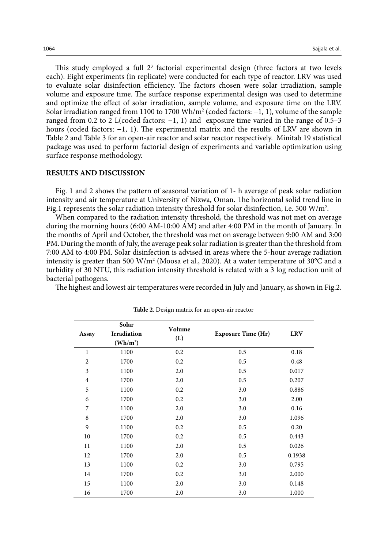This study employed a full  $2<sup>3</sup>$  factorial experimental design (three factors at two levels each). Eight experiments (in replicate) were conducted for each type of reactor. LRV was used to evaluate solar disinfection efficiency. The factors chosen were solar irradiation, sample volume and exposure time. The surface response experimental design was used to determine and optimize the effect of solar irradiation, sample volume, and exposure time on the LRV. Solar irradiation ranged from 1100 to 1700 Wh/m<sup>2</sup> (coded factors:  $-1$ , 1), volume of the sample ranged from 0.2 to 2 L(coded factors: −1, 1) and exposure time varied in the range of 0.5–3 hours (coded factors: −1, 1). The experimental matrix and the results of LRV are shown in Table 2 and Table 3 for an open-air reactor and solar reactor respectively. Minitab 19 statistical package was used to perform factorial design of experiments and variable optimization using surface response methodology.

#### **RESULTS AND DISCUSSION**

Fig. 1 and 2 shows the pattern of seasonal variation of 1- h average of peak solar radiation intensity and air temperature at University of Nizwa, Oman. The horizontal solid trend line in Fig.1 represents the solar radiation intensity threshold for solar disinfection, i.e. 500 W/m<sup>2</sup>.

When compared to the radiation intensity threshold, the threshold was not met on average during the morning hours (6:00 AM-10:00 AM) and after 4:00 PM in the month of January. In the months of April and October, the threshold was met on average between 9:00 AM and 3:00 PM. During the month of July, the average peak solar radiation is greater than the threshold from 7:00 AM to 4:00 PM. Solar disinfection is advised in areas where the 5-hour average radiation intensity is greater than 500 W/m<sup>2</sup> (Moosa et al., 2020). At a water temperature of 30°C and a turbidity of 30 NTU, this radiation intensity threshold is related with a 3 log reduction unit of bacterial pathogens.

The highest and lowest air temperatures were recorded in July and January, as shown in Fig.2.

| Assay          | Solar<br>Irradiation     | Volume | <b>Exposure Time (Hr)</b> | <b>LRV</b> |  |
|----------------|--------------------------|--------|---------------------------|------------|--|
|                | $(\text{Wh}/\text{m}^2)$ | (L)    |                           |            |  |
| $\mathbf{1}$   | 1100                     | 0.2    | 0.5                       | 0.18       |  |
| $\overline{2}$ | 1700                     | 0.2    | 0.5                       | 0.48       |  |
| 3              | 1100                     | 2.0    | 0.5                       | 0.017      |  |
| $\overline{4}$ | 1700                     | 2.0    | 0.5                       | 0.207      |  |
| 5              | 1100                     | 0.2    | 3.0                       | 0.886      |  |
| 6              | 1700                     | 0.2    | 3.0                       | 2.00       |  |
| 7              | 1100                     | 2.0    | 3.0                       | 0.16       |  |
| $\,$ 8 $\,$    | 1700                     | 2.0    | 3.0                       | 1.096      |  |
| 9              | 1100                     | 0.2    | 0.5                       | 0.20       |  |
| 10             | 1700                     | 0.2    | 0.5                       | 0.443      |  |
| 11             | 1100                     | 2.0    | 0.5                       | 0.026      |  |
| 12             | 1700                     | 2.0    | 0.5                       | 0.1938     |  |
| 13             | 1100                     | 0.2    | 3.0                       | 0.795      |  |
| 14             | 1700                     | 0.2    | 3.0                       | 2.000      |  |
| 15             | 1100                     | 2.0    | 3.0                       | 0.148      |  |
| 16             | 1700                     | 2.0    | 3.0                       | 1.000      |  |

**Table 2**: Design matrix for an open-air reactor **Table 2**. Design matrix for an open-air reactor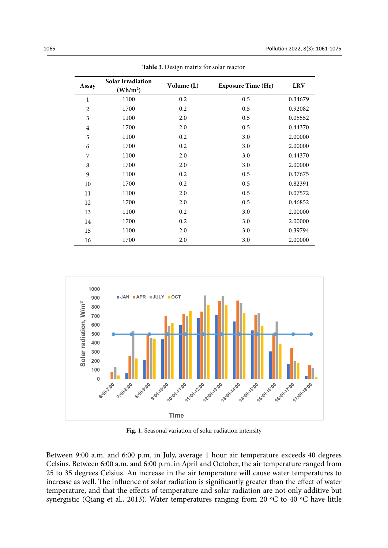| Assay          | <b>Solar Irradiation</b><br>$(\mathbf{Wh}/\mathbf{m}^2)$ | Volume (L) | <b>Exposure Time (Hr)</b> | <b>LRV</b> |
|----------------|----------------------------------------------------------|------------|---------------------------|------------|
| $\mathbf 1$    | 1100                                                     | 0.2        | 0.5                       | 0.34679    |
| $\overline{c}$ | 1700                                                     | 0.2        | 0.5                       | 0.92082    |
| 3              | 1100                                                     | 2.0        | 0.5                       | 0.05552    |
| 4              | 1700                                                     | 2.0        | 0.5                       | 0.44370    |
| 5              | 1100                                                     | 0.2        | 3.0                       | 2.00000    |
| 6              | 1700                                                     | 0.2        | 3.0                       | 2.00000    |
| 7              | 1100                                                     | 2.0        | 3.0                       | 0.44370    |
| $\,$ 8 $\,$    | 1700                                                     | 2.0        | 3.0                       | 2.00000    |
| 9              | 1100                                                     | 0.2        | 0.5                       | 0.37675    |
| 10             | 1700                                                     | 0.2        | 0.5                       | 0.82391    |
| 11             | 1100                                                     | 2.0        | 0.5                       | 0.07572    |
| 12             | 1700                                                     | 2.0        | 0.5                       | 0.46852    |
| 13             | 1100                                                     | 0.2        | 3.0                       | 2.00000    |
| 14             | 1700                                                     | 0.2        | 3.0                       | 2.00000    |
| 15             | 1100                                                     | 2.0        | 3.0                       | 0.39794    |
| 16             | 1700                                                     | 2.0        | 3.0                       | 2.00000    |

**Table 3**: Design matrix for solar reactor **Table 3**. Design matrix for solar reactor



Fig. 1. Seasonal variation of solar radiation intensity

Between 9:00 a.m. and 6:00 p.m. in July, average 1 hour air temperature exceeds 40 degrees Celsius. Between 6:00 a.m. and 6:00 p.m. in April and October, the air temperature ranged from  25 to 35 degrees Celsius. An increase in the air temperature will cause water temperatures to increase as well. The influence of solar radiation is significantly greater than the effect of water temperature, and that the effects of temperature and solar radiation are not only additive but synergistic (Qiang et al., 2013). Water temperatures ranging from 20 ºC to 40 ºC have little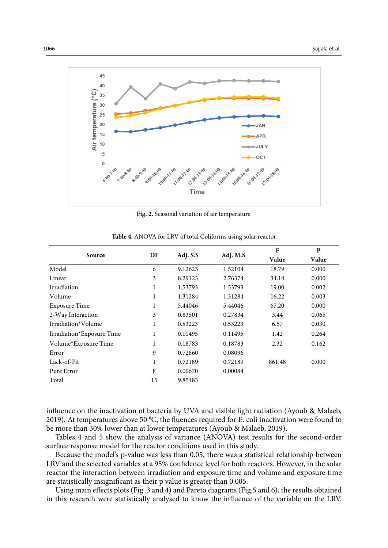

**Fig. 2:** Seasonal variation of air temperature **Fig. 2.** Seasonal variation of air temperature

|                           |    |          |          | $\mathbf{F}$ | P     |
|---------------------------|----|----------|----------|--------------|-------|
| Source                    | DF | Adj. S.S | Adj. M.S | Value        | Value |
| Model                     | 6  | 9.12623  | 1.52104  | 18.79        | 0.000 |
| Linear                    | 3  | 8.29123  | 2.76374  | 34.14        | 0.000 |
| Irradiation               | 1  | 1.53793  | 1.53793  | 19.00        | 0.002 |
| Volume                    | 1  | 1.31284  | 1.31284  | 16.22        | 0.003 |
| <b>Exposure Time</b>      | 1  | 5.44046  | 5.44046  | 67.20        | 0.000 |
| 2-Way Interaction         | 3  | 0.83501  | 0.27834  | 3.44         | 0.065 |
| Irradiation*Volume        | 1  | 0.53223  | 0.53223  | 6.57         | 0.030 |
| Irradiation*Exposure Time |    | 0.11495  | 0.11495  | 1.42         | 0.264 |
| Volume*Exposure Time      | 1  | 0.18783  | 0.18783  | 2.32         | 0.162 |
| Error                     | 9  | 0.72860  | 0.08096  |              |       |
| Lack-of-Fit               | 1  | 0.72189  | 0.72189  | 861.48       | 0.000 |
| Pure Error                | 8  | 0.00670  | 0.00084  |              |       |
| Total                     | 15 | 9.85483  |          |              |       |

**Table 4**: ANOVA for LRV of total Coliforms using solar reactor **Table 4**. ANOVA for LRV of total Coliforms using solar reactor

influence on the inactivation of bacteria by UVA and visible light radiation (Ayoub & Malaeb, 2019). At temperatures above 50 °C, the fluences required for E. coli inactivation were found to be more than 30% lower than at lower temperatures (Ayoub & Malaeb, 2019).

Tables 4 and 5 show the analysis of variance (ANOVA) test results for the second-order surface response model for the reactor conditions used in this study.

Because the model's p-value was less than 0.05, there was a statistical relationship between LRV and the selected variables at a 95% confidence level for both reactors. However, in the solar reactor the interaction between irradiation and exposure time and volume and exposure time are statistically insignificant as their p value is greater than 0.005.

Using main effects plots (Fig .3 and 4) and Pareto diagrams (Fig.5 and 6), the results obtained in this research were statistically analysed to know the influence of the variable on the LRV.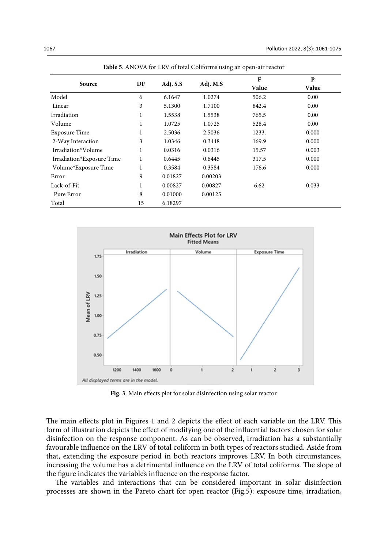| Source                    | DF | Adj. S.S | Adj. M.S | $\mathbf{F}$ | $\mathbf{P}$ |
|---------------------------|----|----------|----------|--------------|--------------|
|                           |    |          |          | Value        | Value        |
| Model                     | 6  | 6.1647   | 1.0274   | 506.2        | 0.00         |
| Linear                    | 3  | 5.1300   | 1.7100   | 842.4        | 0.00         |
| Irradiation               | 1  | 1.5538   | 1.5538   | 765.5        | 0.00         |
| Volume                    | 1  | 1.0725   | 1.0725   | 528.4        | 0.00         |
| Exposure Time             | 1  | 2.5036   | 2.5036   | 1233.        | 0.000        |
| 2-Way Interaction         | 3  | 1.0346   | 0.3448   | 169.9        | 0.000        |
| Irradiation*Volume        | 1  | 0.0316   | 0.0316   | 15.57        | 0.003        |
| Irradiation*Exposure Time | 1  | 0.6445   | 0.6445   | 317.5        | 0.000        |
| Volume*Exposure Time      | 1  | 0.3584   | 0.3584   | 176.6        | 0.000        |
| Error                     | 9  | 0.01827  | 0.00203  |              |              |
| Lack-of-Fit               | 1  | 0.00827  | 0.00827  | 6.62         | 0.033        |
| Pure Error                | 8  | 0.01000  | 0.00125  |              |              |
| Total                     | 15 | 6.18297  |          |              |              |

**Table 5**: ANOVA for LRV of total Coliforms using an open-air reactor **Table 5**. ANOVA for LRV of total Coliforms using an open-air reactor



**Fig. 3**: Main effects plot for solar disinfection using solar reactor **Fig. 3**. Main effects plot for solar disinfection using solar reactor

The main effects plot in Figures 1 and 2 depicts the effect of each variable on the LRV. This form of illustration depicts the effect of modifying one of the influential factors chosen for solar disinfection on the response component. As can be observed, irradiation has a substantially favourable influence on the LRV of total coliform in both types of reactors studied. Aside from that, extending the exposure period in both reactors improves LRV. In both circumstances, increasing the volume has a detrimental influence on the LRV of total coliforms. The slope of the figure indicates the variable's influence on the response factor.

The variables and interactions that can be considered important in solar disinfection processes are shown in the Pareto chart for open reactor (Fig.5): exposure time, irradiation,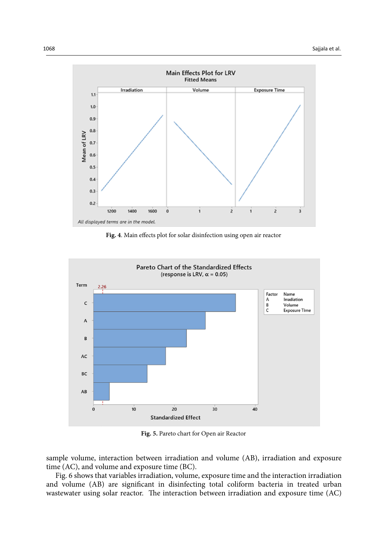

 $\sigma$  **Fig. 4**: Main effects plot for solar distinction using open air reactors  $\sigma$ **Fig. 4**. Main effects plot for solar disinfection using open air reactor



**Fig. 5:** Pareto chart for Open air Reactor **Fig. 5.** Pareto chart for Open air Reactor

sample volume, interaction between irradiation and volume (AB), irradiation and exposure time (AC), and volume and exposure time (BC).

Fig. 6 shows that variables irradiation, volume, exposure time and the interaction irradiation and volume (AB) are significant in disinfecting total coliform bacteria in treated urban wastewater using solar reactor. The interaction between irradiation and exposure time (AC)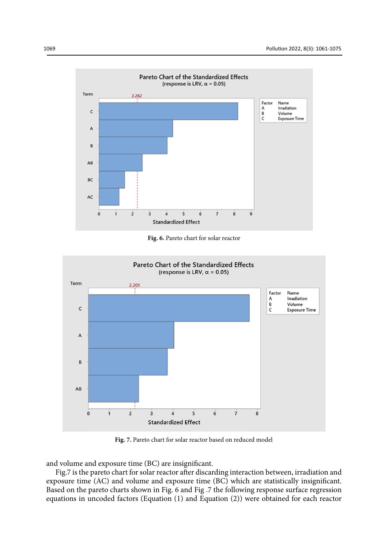

**Fig. 6:** Pareto chart for solar reactor **Fig. 6.** Pareto chart for solar reactor



**Fig. 7:** Pareto chart for solar reactor based on reduced model **Fig. 7.** Pareto chart for solar reactor based on reduced model

and volume and exposure time (BC) are insignificant.

Fig.7 is the pareto chart for solar reactor after discarding interaction between, irradiation and exposure time (AC) and volume and exposure time (BC) which are statistically insignificant. Based on the pareto charts shown in Fig. 6 and Fig .7 the following response surface regression equations in uncoded factors (Equation (1) and Equation (2)) were obtained for each reactor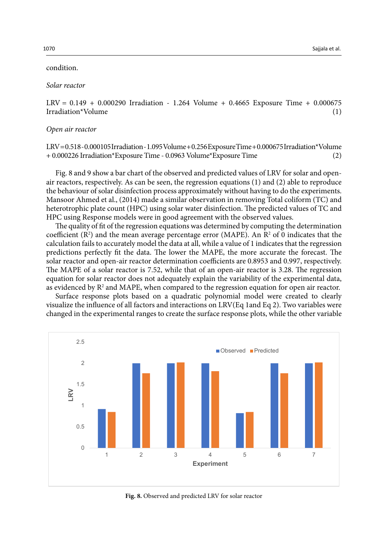## condition.

#### *Solar reactor*

LRV = 0.149 + 0.000290 Irradiation - 1.264 Volume + 0.4665 Exposure Time + 0.000675 Irradiation\*Volume (1)

#### *Open air reactor*

LRV = 0.518 - 0.000105 Irradiation - 1.095 Volume + 0.256 Exposure Time + 0.000675 Irradiation\*Volume + 0.000226 Irradiation\*Exposure Time - 0.0963 Volume\*Exposure Time (2)

Fig. 8 and 9 show a bar chart of the observed and predicted values of LRV for solar and openair reactors, respectively. As can be seen, the regression equations (1) and (2) able to reproduce the behaviour of solar disinfection process approximately without having to do the experiments. Mansoor Ahmed et al., (2014) made a similar observation in removing Total coliform (TC) and heterotrophic plate count (HPC) using solar water disinfection. The predicted values of TC and HPC using Response models were in good agreement with the observed values.

The quality of fit of the regression equations was determined by computing the determination coefficient ( $\mathbb{R}^2$ ) and the mean average percentage error (MAPE). An  $\mathbb{R}^2$  of 0 indicates that the calculation fails to accurately model the data at all, while a value of 1 indicates that the regression predictions perfectly fit the data. The lower the MAPE, the more accurate the forecast. The solar reactor and open-air reactor determination coefficients are 0.8953 and 0.997, respectively. The MAPE of a solar reactor is 7.52, while that of an open-air reactor is 3.28. The regression equation for solar reactor does not adequately explain the variability of the experimental data, as evidenced by  $\mathrm{R}^2$  and MAPE, when compared to the regression equation for open air reactor.

Surface response plots based on a quadratic polynomial model were created to clearly visualize the influence of all factors and interactions on LRV(Eq 1and Eq 2). Two variables were changed in the experimental ranges to create the surface response plots, while the other variable



**Fig. 8:** Observed and predicted LRV for solar reactor **Fig. 8.** Observed and predicted LRV for solar reactor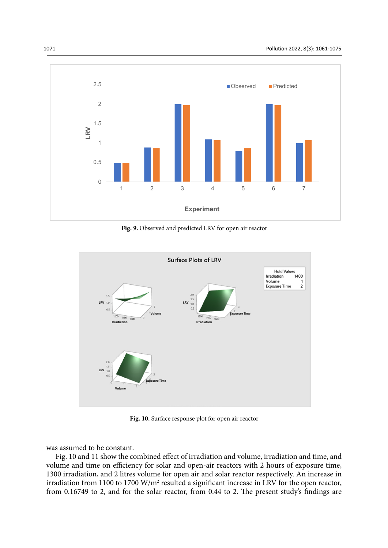

**Fig. 9:** Observed and predicted LRV for open air reactor **Fig. 9.** Observed and predicted LRV for open air reactor



**Fig. 10:** Surface response plot for open air reactor **Fig. 10.** Surface response plot for open air reactor

was assumed to be constant.

Fig. 10 and 11 show the combined effect of irradiation and volume, irradiation and time, and volume and time on efficiency for solar and open-air reactors with 2 hours of exposure time, 1300 irradiation, and 2 litres volume for open air and solar reactor respectively. An increase in irradiation from 1100 to 1700  $W/m^2$  resulted a significant increase in LRV for the open reactor, from 0.16749 to 2, and for the solar reactor, from 0.44 to 2. The present study's findings are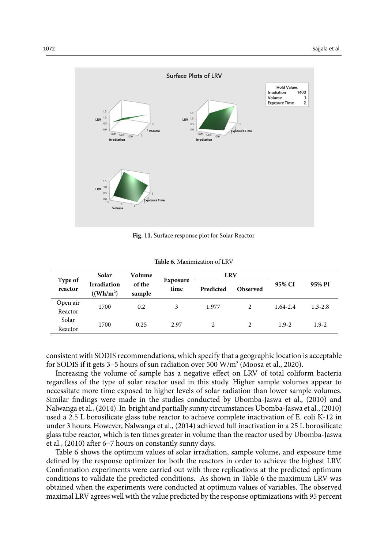

**Fig. 11:** Surface response plot for Solar Reactor **Fig. 11.** Surface response plot for Solar Reactor

| <b>Table 6.</b> Maximization of LRV |  |
|-------------------------------------|--|
|                                     |  |

| Type of<br>reactor  | Solar                                       | Volume           | Exposure<br>time | <b>LRV</b> |                 |              |             |
|---------------------|---------------------------------------------|------------------|------------------|------------|-----------------|--------------|-------------|
|                     | <b>Irradiation</b><br>((Wh/m <sup>2</sup> ) | of the<br>sample |                  | Predicted  | <b>Observed</b> | 95% CI       | 95% PI      |
| Open air<br>Reactor | 1700                                        | 0.2              | 3                | 1.977      |                 | $1.64 - 2.4$ | $1.3 - 2.8$ |
| Solar<br>Reactor    | 1700                                        | 0.25             | 2.97             |            |                 | $1.9 - 2$    | $1.9 - 2$   |

consistent with SODIS recommendations, which specify that a geographic location is acceptable for SODIS if it gets 3–5 hours of sun radiation over 500 W/m<sup>2</sup> (Moosa et al., 2020).

Increasing the volume of sample has a negative effect on LRV of total coliform bacteria regardless of the type of solar reactor used in this study. Higher sample volumes appear to necessitate more time exposed to higher levels of solar radiation than lower sample volumes. Similar findings were made in the studies conducted by Ubomba-Jaswa et al., (2010) and Nalwanga et al., (2014). In bright and partially sunny circumstances Ubomba-Jaswa et al., (2010) used a 2.5 L borosilicate glass tube reactor to achieve complete inactivation of E. coli K-12 in under 3 hours. However, Nalwanga et al., (2014) achieved full inactivation in a 25 L borosilicate glass tube reactor, which is ten times greater in volume than the reactor used by Ubomba-Jaswa et al., (2010) after 6–7 hours on constantly sunny days.

Table 6 shows the optimum values of solar irradiation, sample volume, and exposure time defined by the response optimizer for both the reactors in order to achieve the highest LRV. Confirmation experiments were carried out with three replications at the predicted optimum conditions to validate the predicted conditions. As shown in Table 6 the maximum LRV was obtained when the experiments were conducted at optimum values of variables. The observed maximal LRV agrees well with the value predicted by the response optimizations with 95 percent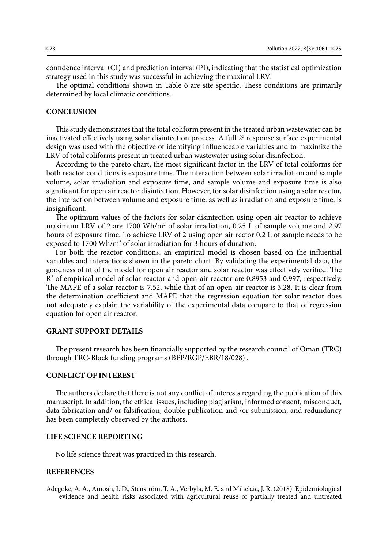confidence interval (CI) and prediction interval (PI), indicating that the statistical optimization strategy used in this study was successful in achieving the maximal LRV.

The optimal conditions shown in Table 6 are site specific. These conditions are primarily determined by local climatic conditions.

## **CONCLUSION**

This study demonstrates that the total coliform present in the treated urban wastewater can be inactivated effectively using solar disinfection process. A full  $2<sup>3</sup>$  response surface experimental design was used with the objective of identifying influenceable variables and to maximize the LRV of total coliforms present in treated urban wastewater using solar disinfection.

According to the pareto chart, the most significant factor in the LRV of total coliforms for both reactor conditions is exposure time. The interaction between solar irradiation and sample volume, solar irradiation and exposure time, and sample volume and exposure time is also significant for open air reactor disinfection. However, for solar disinfection using a solar reactor, the interaction between volume and exposure time, as well as irradiation and exposure time, is insignificant.

The optimum values of the factors for solar disinfection using open air reactor to achieve maximum LRV of 2 are 1700 Wh/m<sup>2</sup> of solar irradiation, 0.25 L of sample volume and 2.97 hours of exposure time. To achieve LRV of 2 using open air rector 0.2 L of sample needs to be exposed to 1700 Wh/m<sup>2</sup> of solar irradiation for 3 hours of duration.

For both the reactor conditions, an empirical model is chosen based on the influential variables and interactions shown in the pareto chart. By validating the experimental data, the goodness of fit of the model for open air reactor and solar reactor was effectively verified. The R2 of empirical model of solar reactor and open-air reactor are 0.8953 and 0.997, respectively. The MAPE of a solar reactor is 7.52, while that of an open-air reactor is 3.28. It is clear from the determination coefficient and MAPE that the regression equation for solar reactor does not adequately explain the variability of the experimental data compare to that of regression equation for open air reactor.

## **GRANT SUPPORT DETAILS**

The present research has been financially supported by the research council of Oman (TRC) through TRC-Block funding programs (BFP/RGP/EBR/18/028) .

## **CONFLICT OF INTEREST**

The authors declare that there is not any conflict of interests regarding the publication of this manuscript. In addition, the ethical issues, including plagiarism, informed consent, misconduct, data fabrication and/ or falsification, double publication and /or submission, and redundancy has been completely observed by the authors.

## **LIFE SCIENCE REPORTING**

No life science threat was practiced in this research.

#### **REFERENCES**

Adegoke, A. A., Amoah, I. D., Stenström, T. A., Verbyla, M. E. and Mihelcic, J. R. (2018). Epidemiological evidence and health risks associated with agricultural reuse of partially treated and untreated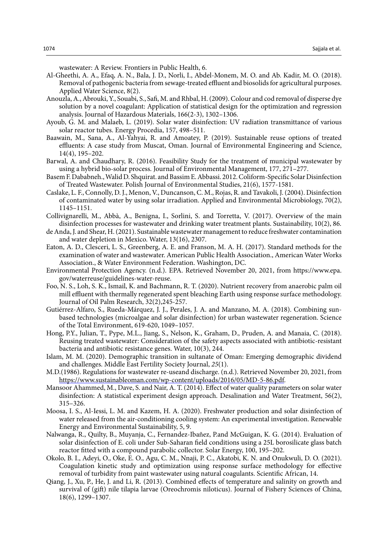wastewater: A Review. Frontiers in Public Health, 6.

- Al-Gheethi, A. A., Efaq, A. N., Bala, J. D., Norli, I., Abdel-Monem, M. O. and Ab. Kadir, M. O. (2018). Removal of pathogenic bacteria from sewage-treated effluent and biosolids for agricultural purposes. Applied Water Science, 8(2).
- Anouzla, A., Abrouki, Y., Souabi, S., Safi, M. and Rhbal, H. (2009). Colour and cod removal of disperse dye solution by a novel coagulant: Application of statistical design for the optimization and regression analysis. Journal of Hazardous Materials, 166(2-3), 1302–1306.
- Ayoub, G. M. and Malaeb, L. (2019). Solar water disinfection: UV radiation transmittance of various solar reactor tubes. Energy Procedia, 157, 498–511.
- Baawain, M., Sana, A., Al-Yahyai, R. and Amoatey, P. (2019). Sustainable reuse options of treated effluents: A case study from Muscat, Oman. Journal of Environmental Engineering and Science, 14(4), 195–202.
- Barwal, A. and Chaudhary, R. (2016). Feasibility Study for the treatment of municipal wastewater by using a hybrid bio-solar process. Journal of Environmental Management, 177, 271–277.
- Basem F. Dababneh., Walid D. Shquirat. and Bassim E. Abbassi. 2012. Coliform-Specific Solar Disinfection of Treated Wastewater. Polish Journal of Environmental Studies, 21(6), 1577-1581.
- Caslake, L. F., Connolly, D. J., Menon, V., Duncanson, C. M., Rojas, R. and Tavakoli, J. (2004). Disinfection of contaminated water by using solar irradiation. Applied and Environmental Microbiology, 70(2), 1145–1151.
- Collivignarelli, M., Abbà, A., Benigna, I., Sorlini, S. and Torretta, V. (2017). Overview of the main disinfection processes for wastewater and drinking water treatment plants. Sustainability, 10(2), 86.
- de Anda, J. and Shear, H. (2021). Sustainable wastewater management to reduce freshwater contamination and water depletion in Mexico. Water, 13(16), 2307.
- Eaton, A. D., Clesceri, L. S., Greenberg, A. E. and Franson, M. A. H. (2017). Standard methods for the examination of water and wastewater. American Public Health Association., American Water Works Association., & Water Environment Federation. Washington, DC.
- Environmental Protection Agency. (n.d.). EPA. Retrieved November 20, 2021, from https://www.epa. gov/waterreuse/guidelines-water-reuse.
- Foo, N. S., Loh, S. K., Ismail, K. and Bachmann, R. T. (2020). Nutrient recovery from anaerobic palm oil mill effluent with thermally regenerated spent bleaching Earth using response surface methodology. Journal of Oil Palm Research, 32(2),245-257.
- Gutiérrez-Alfaro, S., Rueda-Márquez, J. J., Perales, J. A. and Manzano, M. A. (2018). Combining sunbased technologies (microalgae and solar disinfection) for urban wastewater regeneration. Science of the Total Environment, 619-620, 1049–1057.
- Hong, P.Y., Julian, T., Pype, M.L., Jiang, S., Nelson, K., Graham, D., Pruden, A. and Manaia, C. (2018). Reusing treated wastewater: Consideration of the safety aspects associated with antibiotic-resistant bacteria and antibiotic resistance genes. Water, 10(3), 244.
- Islam, M. M. (2020). Demographic transition in sultanate of Oman: Emerging demographic dividend and challenges. Middle East Fertility Society Journal, *25*(1).
- M.D.(1986). Regulations for wastewater re-useand discharge. (n.d.). Retrieved November 20, 2021, from https://www.sustainableoman.com/wp-content/uploads/2016/05/MD-5-86.pdf.
- Mansoor Ahammed, M., Dave, S. and Nair, A. T. (2014). Effect of water quality parameters on solar water disinfection: A statistical experiment design approach. Desalination and Water Treatment, 56(2), 315–326.
- Moosa, I. S., Al-Iessi, L. M. and Kazem, H. A. (2020). Freshwater production and solar disinfection of water released from the air-conditioning cooling system: An experimental investigation. Renewable Energy and Environmental Sustainability, 5, 9.
- Nalwanga, R., Quilty, B., Muyanja, C., Fernandez-Ibañez, P.and McGuigan, K. G. (2014). Evaluation of solar disinfection of E. coli under Sub-Saharan field conditions using a 25L borosilicate glass batch reactor fitted with a compound parabolic collector. Solar Energy, 100, 195–202.
- Okolo, B. I., Adeyi, O., Oke, E. O., Agu, C. M., Nnaji, P. C., Akatobi, K. N. and Onukwuli, D. O. (2021). Coagulation kinetic study and optimization using response surface methodology for effective removal of turbidity from paint wastewater using natural coagulants. Scientific African, 14.
- Qiang, J., Xu, P., He, J. and Li, R. (2013). Combined effects of temperature and salinity on growth and survival of (gift) nile tilapia larvae (Oreochromis niloticus). Journal of Fishery Sciences of China, 18(6), 1299–1307.